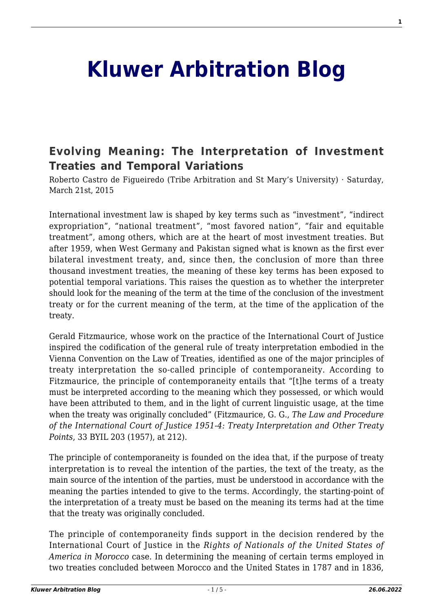## **[Kluwer Arbitration Blog](http://arbitrationblog.kluwerarbitration.com/)**

## **[Evolving Meaning: The Interpretation of Investment](http://arbitrationblog.kluwerarbitration.com/2015/03/21/evolving-meaning-the-interpretation-of-investment-treaties-and-temporal-variations/) [Treaties and Temporal Variations](http://arbitrationblog.kluwerarbitration.com/2015/03/21/evolving-meaning-the-interpretation-of-investment-treaties-and-temporal-variations/)**

Roberto Castro de Figueiredo (Tribe Arbitration and St Mary's University) · Saturday, March 21st, 2015

International investment law is shaped by key terms such as "investment", "indirect expropriation", "national treatment", "most favored nation", "fair and equitable treatment", among others, which are at the heart of most investment treaties. But after 1959, when West Germany and Pakistan signed what is known as the first ever bilateral investment treaty, and, since then, the conclusion of more than three thousand investment treaties, the meaning of these key terms has been exposed to potential temporal variations. This raises the question as to whether the interpreter should look for the meaning of the term at the time of the conclusion of the investment treaty or for the current meaning of the term, at the time of the application of the treaty.

Gerald Fitzmaurice, whose work on the practice of the International Court of Justice inspired the codification of the general rule of treaty interpretation embodied in the Vienna Convention on the Law of Treaties, identified as one of the major principles of treaty interpretation the so-called principle of contemporaneity. According to Fitzmaurice, the principle of contemporaneity entails that "[t]he terms of a treaty must be interpreted according to the meaning which they possessed, or which would have been attributed to them, and in the light of current linguistic usage, at the time when the treaty was originally concluded" (Fitzmaurice, G. G., *The Law and Procedure of the International Court of Justice 1951-4: Treaty Interpretation and Other Treaty Points*, 33 BYIL 203 (1957), at 212).

The principle of contemporaneity is founded on the idea that, if the purpose of treaty interpretation is to reveal the intention of the parties, the text of the treaty, as the main source of the intention of the parties, must be understood in accordance with the meaning the parties intended to give to the terms. Accordingly, the starting-point of the interpretation of a treaty must be based on the meaning its terms had at the time that the treaty was originally concluded.

The principle of contemporaneity finds support in the decision rendered by the International Court of Justice in the *Rights of Nationals of the United States of America in Morocco* case. In determining the meaning of certain terms employed in two treaties concluded between Morocco and the United States in 1787 and in 1836,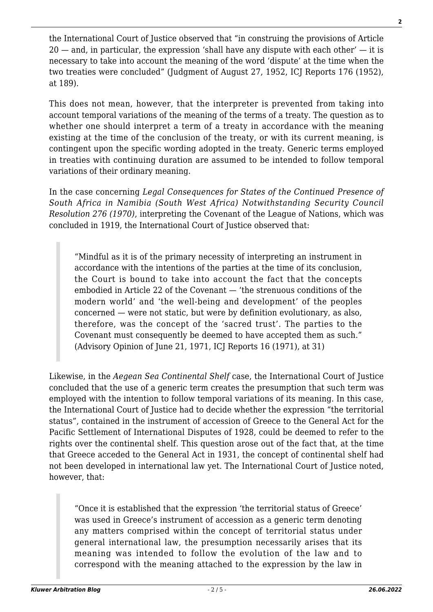the International Court of Justice observed that "in construing the provisions of Article  $20 -$  and, in particular, the expression 'shall have any dispute with each other'  $-$  it is necessary to take into account the meaning of the word 'dispute' at the time when the two treaties were concluded" (Judgment of August 27, 1952, ICJ Reports 176 (1952), at 189).

This does not mean, however, that the interpreter is prevented from taking into account temporal variations of the meaning of the terms of a treaty. The question as to whether one should interpret a term of a treaty in accordance with the meaning existing at the time of the conclusion of the treaty, or with its current meaning, is contingent upon the specific wording adopted in the treaty. Generic terms employed in treaties with continuing duration are assumed to be intended to follow temporal variations of their ordinary meaning.

In the case concerning *Legal Consequences for States of the Continued Presence of South Africa in Namibia (South West Africa) Notwithstanding Security Council Resolution 276 (1970)*, interpreting the Covenant of the League of Nations, which was concluded in 1919, the International Court of Justice observed that:

"Mindful as it is of the primary necessity of interpreting an instrument in accordance with the intentions of the parties at the time of its conclusion, the Court is bound to take into account the fact that the concepts embodied in Article 22 of the Covenant — 'the strenuous conditions of the modern world' and 'the well-being and development' of the peoples concerned — were not static, but were by definition evolutionary, as also, therefore, was the concept of the 'sacred trust'. The parties to the Covenant must consequently be deemed to have accepted them as such." (Advisory Opinion of June 21, 1971, ICJ Reports 16 (1971), at 31)

Likewise, in the *Aegean Sea Continental Shelf* case, the International Court of Justice concluded that the use of a generic term creates the presumption that such term was employed with the intention to follow temporal variations of its meaning. In this case, the International Court of Justice had to decide whether the expression "the territorial status", contained in the instrument of accession of Greece to the General Act for the Pacific Settlement of International Disputes of 1928, could be deemed to refer to the rights over the continental shelf. This question arose out of the fact that, at the time that Greece acceded to the General Act in 1931, the concept of continental shelf had not been developed in international law yet. The International Court of Justice noted, however, that:

"Once it is established that the expression 'the territorial status of Greece' was used in Greece's instrument of accession as a generic term denoting any matters comprised within the concept of territorial status under general international law, the presumption necessarily arises that its meaning was intended to follow the evolution of the law and to correspond with the meaning attached to the expression by the law in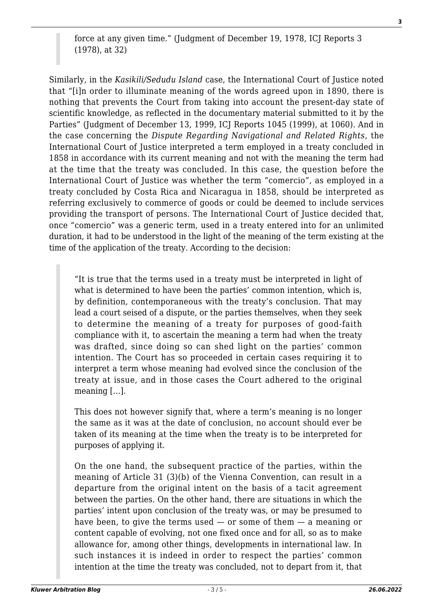force at any given time." (Judgment of December 19, 1978, ICJ Reports 3 (1978), at 32)

Similarly, in the *Kasikili/Sedudu Island* case, the International Court of Justice noted that "[i]n order to illuminate meaning of the words agreed upon in 1890, there is nothing that prevents the Court from taking into account the present-day state of scientific knowledge, as reflected in the documentary material submitted to it by the Parties" (Judgment of December 13, 1999, ICJ Reports 1045 (1999), at 1060). And in the case concerning the *Dispute Regarding Navigational and Related Rights*, the International Court of Justice interpreted a term employed in a treaty concluded in 1858 in accordance with its current meaning and not with the meaning the term had at the time that the treaty was concluded. In this case, the question before the International Court of Justice was whether the term "comercio", as employed in a treaty concluded by Costa Rica and Nicaragua in 1858, should be interpreted as referring exclusively to commerce of goods or could be deemed to include services providing the transport of persons. The International Court of Justice decided that, once "comercio" was a generic term, used in a treaty entered into for an unlimited duration, it had to be understood in the light of the meaning of the term existing at the time of the application of the treaty. According to the decision:

"It is true that the terms used in a treaty must be interpreted in light of what is determined to have been the parties' common intention, which is, by definition, contemporaneous with the treaty's conclusion. That may lead a court seised of a dispute, or the parties themselves, when they seek to determine the meaning of a treaty for purposes of good-faith compliance with it, to ascertain the meaning a term had when the treaty was drafted, since doing so can shed light on the parties' common intention. The Court has so proceeded in certain cases requiring it to interpret a term whose meaning had evolved since the conclusion of the treaty at issue, and in those cases the Court adhered to the original meaning […].

This does not however signify that, where a term's meaning is no longer the same as it was at the date of conclusion, no account should ever be taken of its meaning at the time when the treaty is to be interpreted for purposes of applying it.

On the one hand, the subsequent practice of the parties, within the meaning of Article 31 (3)(b) of the Vienna Convention, can result in a departure from the original intent on the basis of a tacit agreement between the parties. On the other hand, there are situations in which the parties' intent upon conclusion of the treaty was, or may be presumed to have been, to give the terms used — or some of them — a meaning or content capable of evolving, not one fixed once and for all, so as to make allowance for, among other things, developments in international law. In such instances it is indeed in order to respect the parties' common intention at the time the treaty was concluded, not to depart from it, that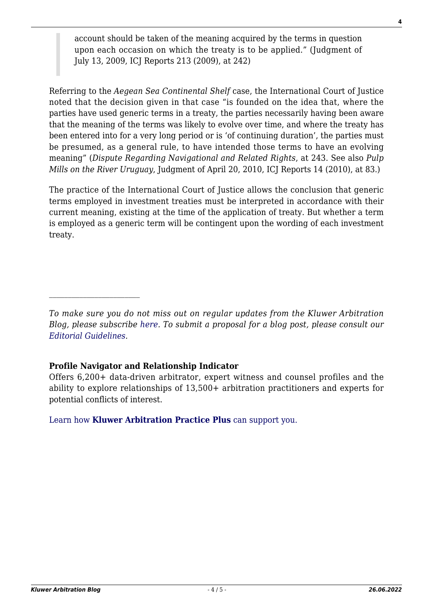account should be taken of the meaning acquired by the terms in question upon each occasion on which the treaty is to be applied." (Judgment of July 13, 2009, ICJ Reports 213 (2009), at 242)

Referring to the *Aegean Sea Continental Shelf* case, the International Court of Justice noted that the decision given in that case "is founded on the idea that, where the parties have used generic terms in a treaty, the parties necessarily having been aware that the meaning of the terms was likely to evolve over time, and where the treaty has been entered into for a very long period or is 'of continuing duration', the parties must be presumed, as a general rule, to have intended those terms to have an evolving meaning" (*Dispute Regarding Navigational and Related Rights*, at 243. See also *Pulp Mills on the River Uruguay*, Judgment of April 20, 2010, ICJ Reports 14 (2010), at 83.)

The practice of the International Court of Justice allows the conclusion that generic terms employed in investment treaties must be interpreted in accordance with their current meaning, existing at the time of the application of treaty. But whether a term is employed as a generic term will be contingent upon the wording of each investment treaty.

## **Profile Navigator and Relationship Indicator**

Offers 6,200+ data-driven arbitrator, expert witness and counsel profiles and the ability to explore relationships of 13,500+ arbitration practitioners and experts for potential conflicts of interest.

[Learn how](https://www.wolterskluwer.com/en/solutions/kluwerarbitration/practiceplus?utm_source=arbitrationblog&utm_medium=articleCTA&utm_campaign=article-banner) **[Kluwer Arbitration Practice Plus](https://www.wolterskluwer.com/en/solutions/kluwerarbitration/practiceplus?utm_source=arbitrationblog&utm_medium=articleCTA&utm_campaign=article-banner)** [can support you.](https://www.wolterskluwer.com/en/solutions/kluwerarbitration/practiceplus?utm_source=arbitrationblog&utm_medium=articleCTA&utm_campaign=article-banner)

*To make sure you do not miss out on regular updates from the Kluwer Arbitration Blog, please subscribe [here](http://arbitrationblog.kluwerarbitration.com/newsletter/). To submit a proposal for a blog post, please consult our [Editorial Guidelines.](http://arbitrationblog.kluwerarbitration.com/editorial-guidelines/)*